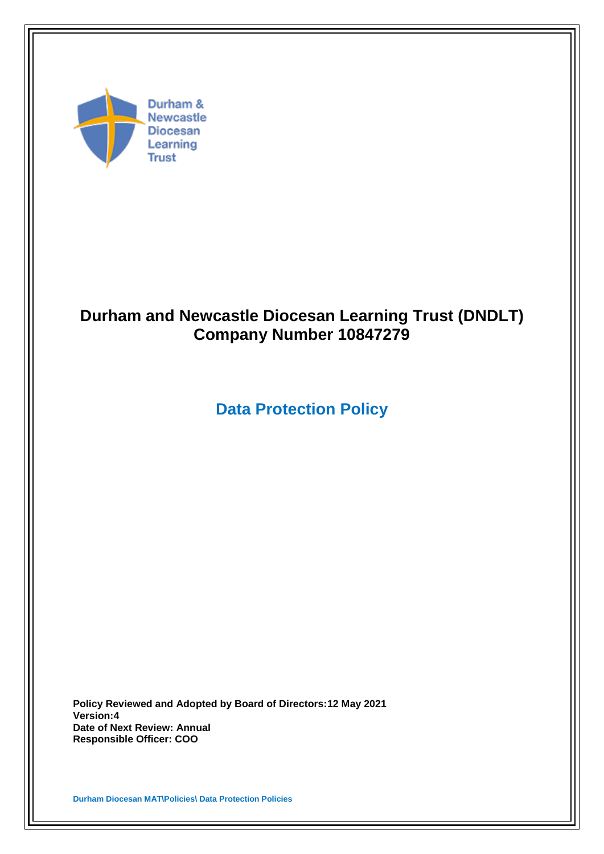

# **Durham and Newcastle Diocesan Learning Trust (DNDLT) Company Number 10847279**

# **Data Protection Policy**

**Policy Reviewed and Adopted by Board of Directors:12 May 2021 Version:4 Date of Next Review: Annual Responsible Officer: COO**

**Durham Diocesan MAT\Policies\ Data Protection Policies**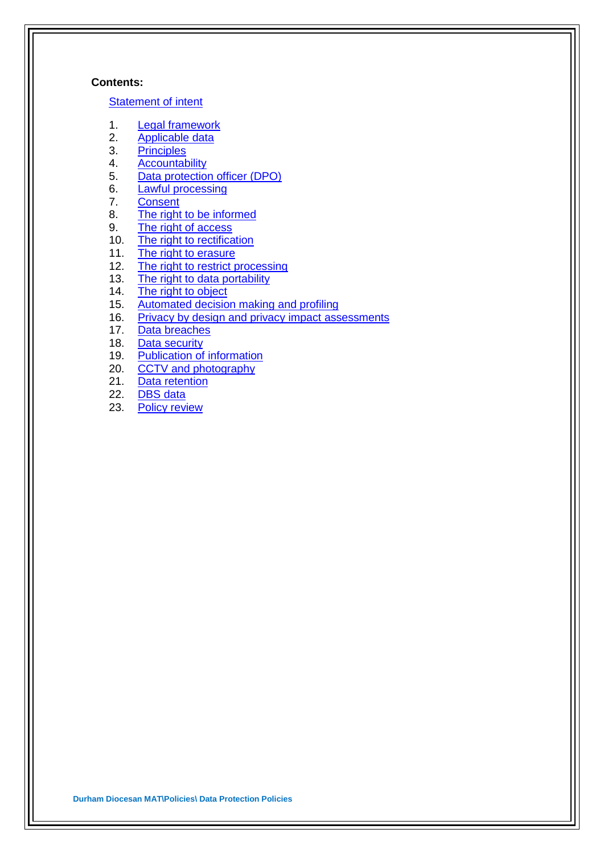#### **Contents:**

#### [Statement of intent](#page-2-0)

- 1. [Legal framework](#page-3-0)
- 2. [Applicable data](#page-3-1)
- 3. [Principles](#page-4-0)
- 4. [Accountability](#page-5-0)
- 5. [Data protection officer \(DPO\)](#page-6-0)
- 6. [Lawful processing](#page-6-1)
- 7. [Consent](#page-8-0)
- 8. [The right to be informed](#page-8-1)<br>9. The right of access
- [The right of access](#page-9-0)
- 10. [The right to rectification](#page-10-0)
- 11. [The right to erasure](#page-10-1)
- 12. [The right to restrict processing](#page-11-0)
- 13. [The right to data portability](#page-12-0)
- 14. [The right to object](#page-13-0)
- 15. [Automated decision making and profiling](#page-14-0)
- 16. [Privacy by design and privacy impact assessments](#page-14-1)
- 17. [Data breaches](#page-15-0)
- 18. [Data security](#page-16-0)
- 19. [Publication of information](#page-17-0)
- 20. [CCTV and photography](#page-18-0)
- 21. [Data retention](#page-19-0)
- 22. [DBS data](#page-19-1)
- 23. [Policy review](#page-19-2)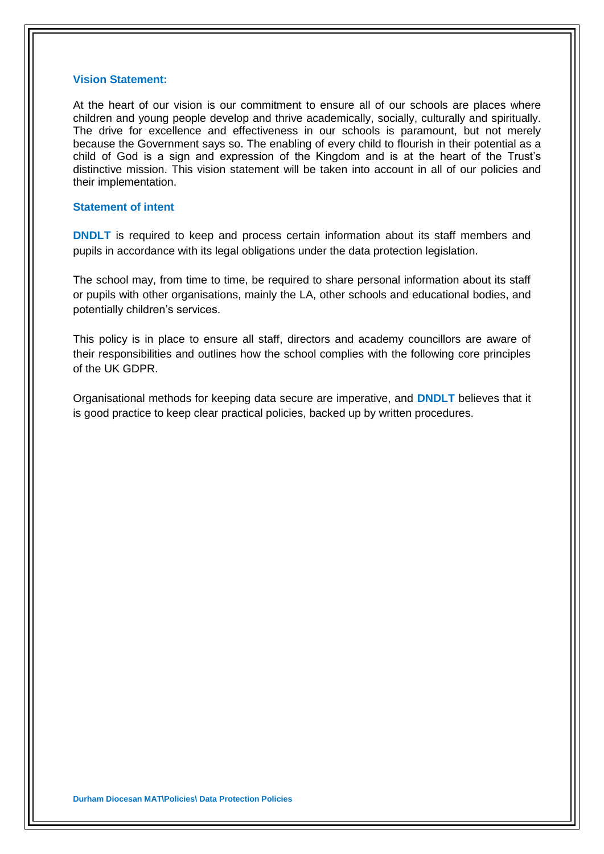#### <span id="page-2-0"></span>**Vision Statement:**

At the heart of our vision is our commitment to ensure all of our schools are places where children and young people develop and thrive academically, socially, culturally and spiritually. The drive for excellence and effectiveness in our schools is paramount, but not merely because the Government says so. The enabling of every child to flourish in their potential as a child of God is a sign and expression of the Kingdom and is at the heart of the Trust's distinctive mission. This vision statement will be taken into account in all of our policies and their implementation.

### **Statement of intent**

**DNDLT** is required to keep and process certain information about its staff members and pupils in accordance with its legal obligations under the data protection legislation.

The school may, from time to time, be required to share personal information about its staff or pupils with other organisations, mainly the LA, other schools and educational bodies, and potentially children's services.

This policy is in place to ensure all staff, directors and academy councillors are aware of their responsibilities and outlines how the school complies with the following core principles of the UK GDPR.

Organisational methods for keeping data secure are imperative, and **DNDLT** believes that it is good practice to keep clear practical policies, backed up by written procedures.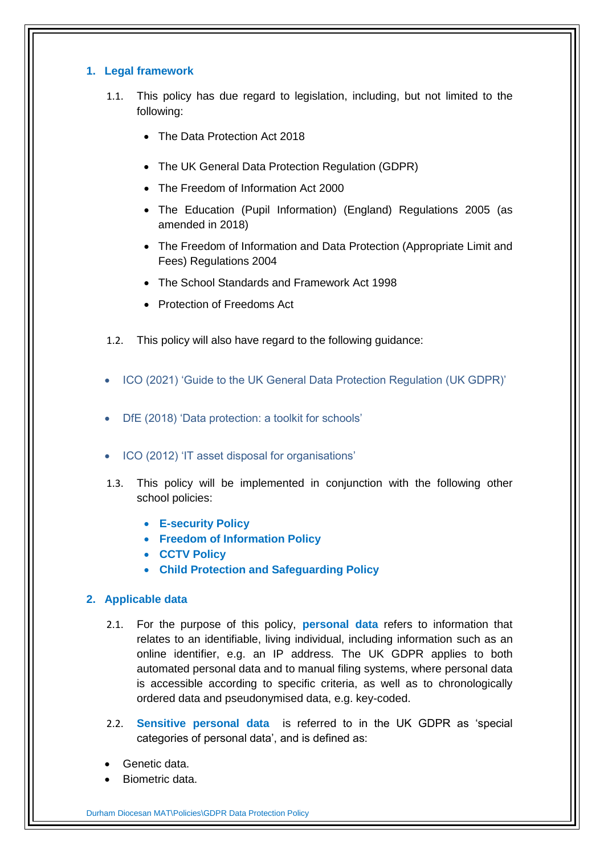# <span id="page-3-0"></span>**1. Legal framework**

- 1.1. This policy has due regard to legislation, including, but not limited to the following:
	- The Data Protection Act 2018
	- The UK General Data Protection Regulation (GDPR)
	- The Freedom of Information Act 2000
	- The Education (Pupil Information) (England) Regulations 2005 (as amended in 2018)
	- The Freedom of Information and Data Protection (Appropriate Limit and Fees) Regulations 2004
	- The School Standards and Framework Act 1998
	- Protection of Freedoms Act
- 1.2. This policy will also have regard to the following guidance:
- ICO (2021) 'Guide to the UK General Data Protection Regulation (UK GDPR)'
- DfE (2018) 'Data protection: a toolkit for schools'
- ICO (2012) 'IT asset disposal for organisations'
- 1.3. This policy will be implemented in conjunction with the following other school policies:
	- **E-security Policy**
	- **Freedom of Information Policy**
	- **CCTV Policy**
	- **Child Protection and Safeguarding Policy**

## <span id="page-3-1"></span>**2. Applicable data**

- 2.1. For the purpose of this policy, **personal data** refers to information that relates to an identifiable, living individual, including information such as an online identifier, e.g. an IP address. The UK GDPR applies to both automated personal data and to manual filing systems, where personal data is accessible according to specific criteria, as well as to chronologically ordered data and pseudonymised data, e.g. key-coded.
- 2.2. **Sensitive personal data** is referred to in the UK GDPR as 'special categories of personal data', and is defined as:
- Genetic data.
- Biometric data.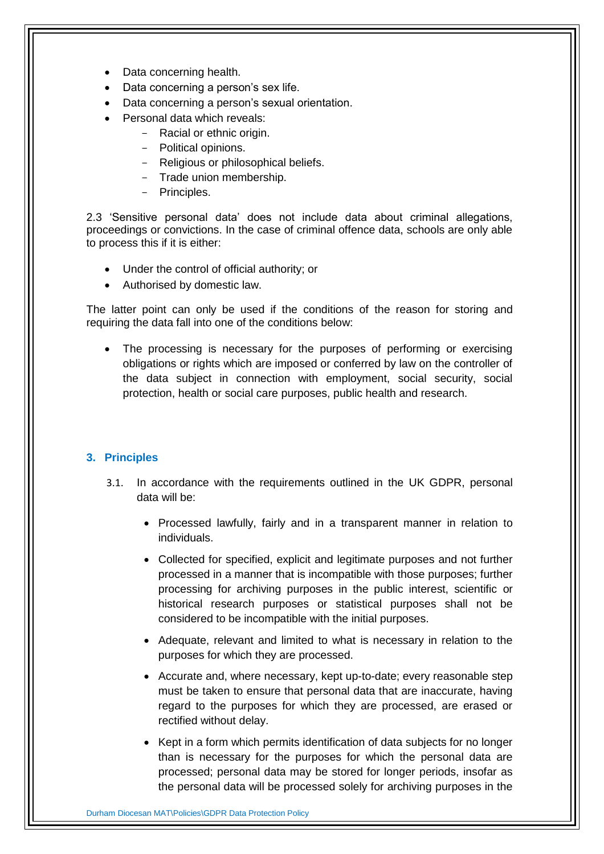- Data concerning health.
- Data concerning a person's sex life.
- Data concerning a person's sexual orientation.
- Personal data which reveals:
	- Racial or ethnic origin.
	- Political opinions.
	- Religious or philosophical beliefs.
	- Trade union membership.
	- Principles.

2.3 'Sensitive personal data' does not include data about criminal allegations, proceedings or convictions. In the case of criminal offence data, schools are only able to process this if it is either:

- Under the control of official authority; or
- Authorised by domestic law.

The latter point can only be used if the conditions of the reason for storing and requiring the data fall into one of the conditions below:

 The processing is necessary for the purposes of performing or exercising obligations or rights which are imposed or conferred by law on the controller of the data subject in connection with employment, social security, social protection, health or social care purposes, public health and research.

# <span id="page-4-0"></span>**3. Principles**

- 3.1. In accordance with the requirements outlined in the UK GDPR, personal data will be:
	- Processed lawfully, fairly and in a transparent manner in relation to individuals.
	- Collected for specified, explicit and legitimate purposes and not further processed in a manner that is incompatible with those purposes; further processing for archiving purposes in the public interest, scientific or historical research purposes or statistical purposes shall not be considered to be incompatible with the initial purposes.
	- Adequate, relevant and limited to what is necessary in relation to the purposes for which they are processed.
	- Accurate and, where necessary, kept up-to-date; every reasonable step must be taken to ensure that personal data that are inaccurate, having regard to the purposes for which they are processed, are erased or rectified without delay.
	- Kept in a form which permits identification of data subjects for no longer than is necessary for the purposes for which the personal data are processed; personal data may be stored for longer periods, insofar as the personal data will be processed solely for archiving purposes in the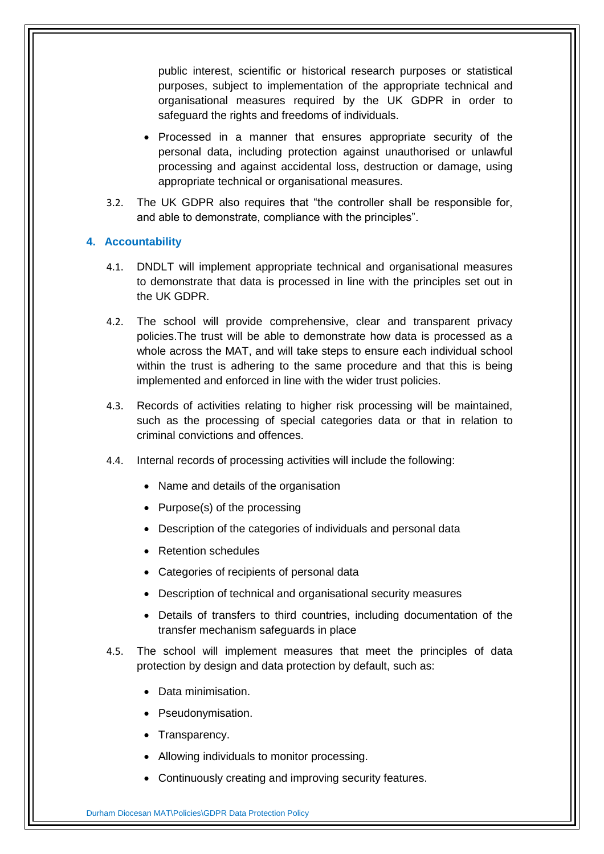public interest, scientific or historical research purposes or statistical purposes, subject to implementation of the appropriate technical and organisational measures required by the UK GDPR in order to safeguard the rights and freedoms of individuals.

- Processed in a manner that ensures appropriate security of the personal data, including protection against unauthorised or unlawful processing and against accidental loss, destruction or damage, using appropriate technical or organisational measures.
- 3.2. The UK GDPR also requires that "the controller shall be responsible for, and able to demonstrate, compliance with the principles".

### <span id="page-5-0"></span>**4. Accountability**

- 4.1. DNDLT will implement appropriate technical and organisational measures to demonstrate that data is processed in line with the principles set out in the UK GDPR.
- 4.2. The school will provide comprehensive, clear and transparent privacy policies.The trust will be able to demonstrate how data is processed as a whole across the MAT, and will take steps to ensure each individual school within the trust is adhering to the same procedure and that this is being implemented and enforced in line with the wider trust policies.
- 4.3. Records of activities relating to higher risk processing will be maintained, such as the processing of special categories data or that in relation to criminal convictions and offences.
- 4.4. Internal records of processing activities will include the following:
	- Name and details of the organisation
	- Purpose(s) of the processing
	- Description of the categories of individuals and personal data
	- Retention schedules
	- Categories of recipients of personal data
	- Description of technical and organisational security measures
	- Details of transfers to third countries, including documentation of the transfer mechanism safeguards in place
- 4.5. The school will implement measures that meet the principles of data protection by design and data protection by default, such as:
	- Data minimisation.
	- Pseudonymisation.
	- Transparency.
	- Allowing individuals to monitor processing.
	- Continuously creating and improving security features.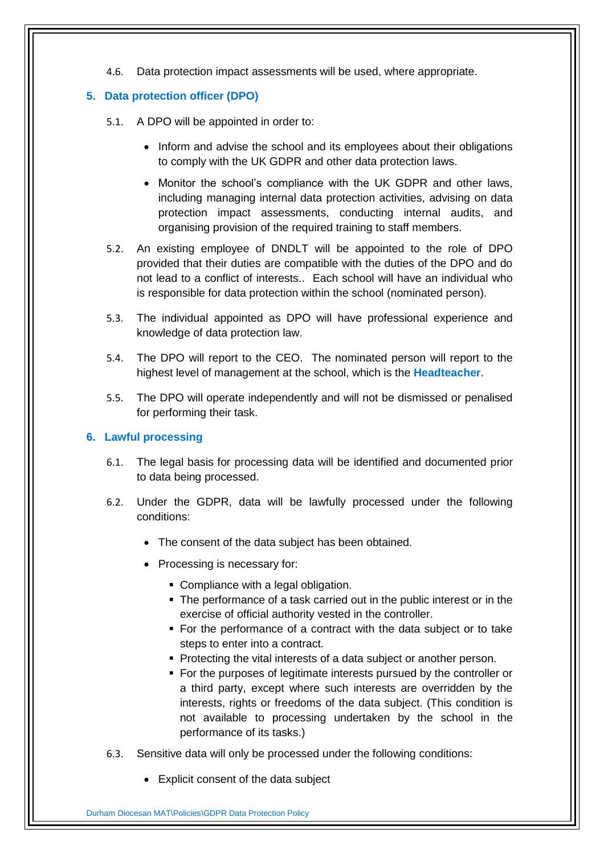4.6. Data protection impact assessments will be used, where appropriate.

# <span id="page-6-0"></span>**5. Data protection officer (DPO)**

- 5.1. A DPO will be appointed in order to:
	- Inform and advise the school and its employees about their obligations to comply with the UK GDPR and other data protection laws.
	- Monitor the school's compliance with the UK GDPR and other laws, including managing internal data protection activities, advising on data protection impact assessments, conducting internal audits, and organising provision of the required training to staff members.
- 5.2. An existing employee of DNDLT will be appointed to the role of DPO provided that their duties are compatible with the duties of the DPO and do not lead to a conflict of interests.. Each school will have an individual who is responsible for data protection within the school (nominated person).
- 5.3. The individual appointed as DPO will have professional experience and knowledge of data protection law.
- 5.4. The DPO will report to the CEO. The nominated person will report to the highest level of management at the school, which is the **Headteacher**.
- 5.5. The DPO will operate independently and will not be dismissed or penalised for performing their task.

# <span id="page-6-1"></span>**6. Lawful processing**

- 6.1. The legal basis for processing data will be identified and documented prior to data being processed.
- 6.2. Under the GDPR, data will be lawfully processed under the following conditions:
	- The consent of the data subject has been obtained.
	- Processing is necessary for:
		- Compliance with a legal obligation.
		- The performance of a task carried out in the public interest or in the exercise of official authority vested in the controller.
		- For the performance of a contract with the data subject or to take steps to enter into a contract.
		- **Protecting the vital interests of a data subject or another person.**
		- For the purposes of legitimate interests pursued by the controller or a third party, except where such interests are overridden by the interests, rights or freedoms of the data subject. (This condition is not available to processing undertaken by the school in the performance of its tasks.)
- 6.3. Sensitive data will only be processed under the following conditions:
	- Explicit consent of the data subject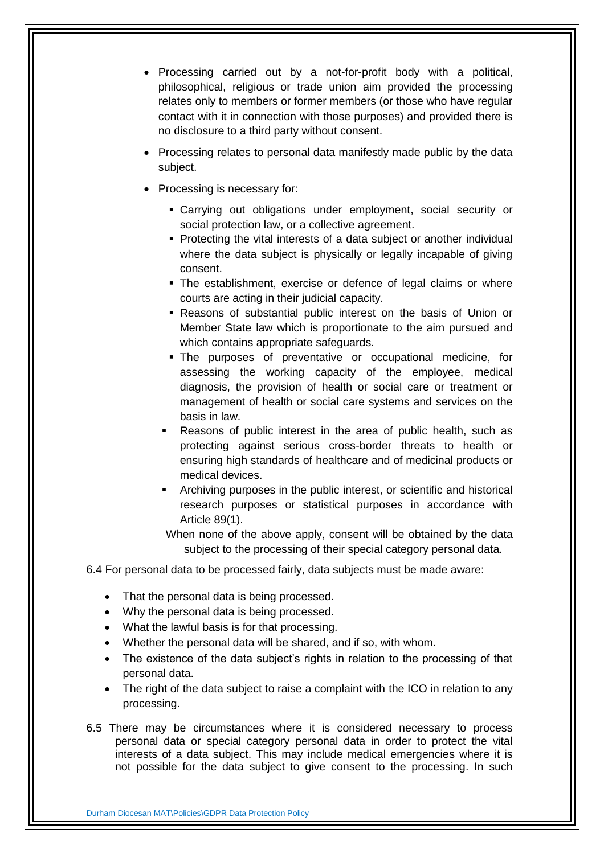- Processing carried out by a not-for-profit body with a political, philosophical, religious or trade union aim provided the processing relates only to members or former members (or those who have regular contact with it in connection with those purposes) and provided there is no disclosure to a third party without consent.
- Processing relates to personal data manifestly made public by the data subject.
- Processing is necessary for:
	- Carrying out obligations under employment, social security or social protection law, or a collective agreement.
	- Protecting the vital interests of a data subject or another individual where the data subject is physically or legally incapable of giving consent.
	- The establishment, exercise or defence of legal claims or where courts are acting in their judicial capacity.
	- Reasons of substantial public interest on the basis of Union or Member State law which is proportionate to the aim pursued and which contains appropriate safeguards.
	- The purposes of preventative or occupational medicine, for assessing the working capacity of the employee, medical diagnosis, the provision of health or social care or treatment or management of health or social care systems and services on the basis in law.
	- Reasons of public interest in the area of public health, such as protecting against serious cross-border threats to health or ensuring high standards of healthcare and of medicinal products or medical devices.
	- Archiving purposes in the public interest, or scientific and historical research purposes or statistical purposes in accordance with Article 89(1).
	- When none of the above apply, consent will be obtained by the data subject to the processing of their special category personal data.

6.4 For personal data to be processed fairly, data subjects must be made aware:

- That the personal data is being processed.
- Why the personal data is being processed.
- What the lawful basis is for that processing.
- Whether the personal data will be shared, and if so, with whom.
- The existence of the data subject's rights in relation to the processing of that personal data.
- The right of the data subject to raise a complaint with the ICO in relation to any processing.
- 6.5 There may be circumstances where it is considered necessary to process personal data or special category personal data in order to protect the vital interests of a data subject. This may include medical emergencies where it is not possible for the data subject to give consent to the processing. In such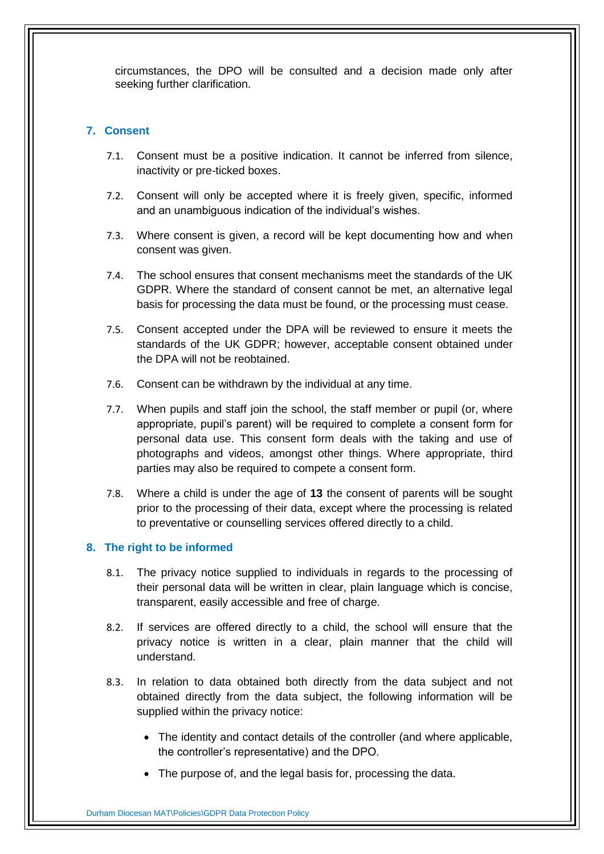circumstances, the DPO will be consulted and a decision made only after seeking further clarification.

## <span id="page-8-0"></span>**7. Consent**

- 7.1. Consent must be a positive indication. It cannot be inferred from silence, inactivity or pre-ticked boxes.
- 7.2. Consent will only be accepted where it is freely given, specific, informed and an unambiguous indication of the individual's wishes.
- 7.3. Where consent is given, a record will be kept documenting how and when consent was given.
- 7.4. The school ensures that consent mechanisms meet the standards of the UK GDPR. Where the standard of consent cannot be met, an alternative legal basis for processing the data must be found, or the processing must cease.
- 7.5. Consent accepted under the DPA will be reviewed to ensure it meets the standards of the UK GDPR; however, acceptable consent obtained under the DPA will not be reobtained.
- 7.6. Consent can be withdrawn by the individual at any time.
- 7.7. When pupils and staff join the school, the staff member or pupil (or, where appropriate, pupil's parent) will be required to complete a consent form for personal data use. This consent form deals with the taking and use of photographs and videos, amongst other things. Where appropriate, third parties may also be required to compete a consent form.
- 7.8. Where a child is under the age of **13** the consent of parents will be sought prior to the processing of their data, except where the processing is related to preventative or counselling services offered directly to a child.

## <span id="page-8-1"></span>**8. The right to be informed**

- 8.1. The privacy notice supplied to individuals in regards to the processing of their personal data will be written in clear, plain language which is concise, transparent, easily accessible and free of charge.
- 8.2. If services are offered directly to a child, the school will ensure that the privacy notice is written in a clear, plain manner that the child will understand.
- 8.3. In relation to data obtained both directly from the data subject and not obtained directly from the data subject, the following information will be supplied within the privacy notice:
	- The identity and contact details of the controller (and where applicable, the controller's representative) and the DPO.
	- The purpose of, and the legal basis for, processing the data.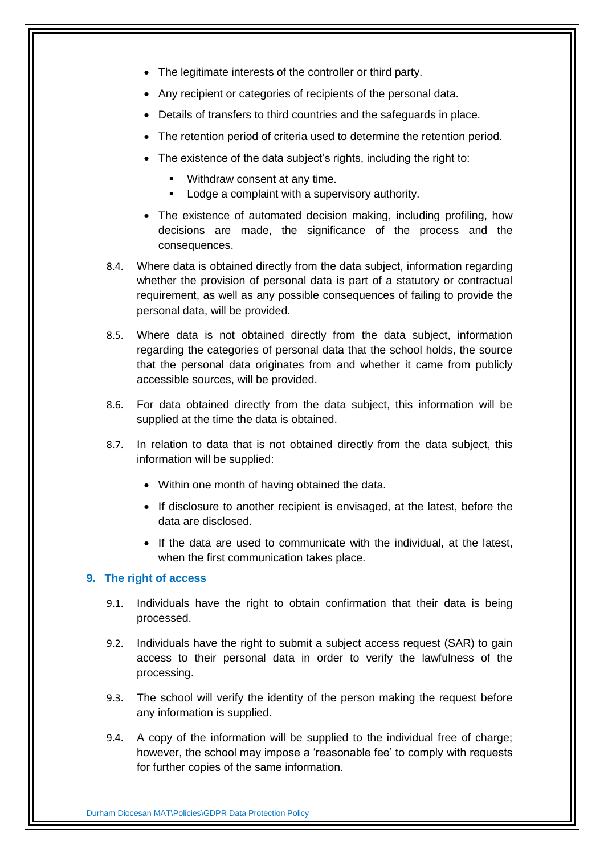- The legitimate interests of the controller or third party.
- Any recipient or categories of recipients of the personal data.
- Details of transfers to third countries and the safeguards in place.
- The retention period of criteria used to determine the retention period.
- The existence of the data subject's rights, including the right to:
	- Withdraw consent at any time.
	- **-** Lodge a complaint with a supervisory authority.
- The existence of automated decision making, including profiling, how decisions are made, the significance of the process and the consequences.
- 8.4. Where data is obtained directly from the data subject, information regarding whether the provision of personal data is part of a statutory or contractual requirement, as well as any possible consequences of failing to provide the personal data, will be provided.
- 8.5. Where data is not obtained directly from the data subject, information regarding the categories of personal data that the school holds, the source that the personal data originates from and whether it came from publicly accessible sources, will be provided.
- 8.6. For data obtained directly from the data subject, this information will be supplied at the time the data is obtained.
- 8.7. In relation to data that is not obtained directly from the data subject, this information will be supplied:
	- Within one month of having obtained the data.
	- If disclosure to another recipient is envisaged, at the latest, before the data are disclosed.
	- If the data are used to communicate with the individual, at the latest, when the first communication takes place.

#### <span id="page-9-0"></span>**9. The right of access**

- 9.1. Individuals have the right to obtain confirmation that their data is being processed.
- 9.2. Individuals have the right to submit a subject access request (SAR) to gain access to their personal data in order to verify the lawfulness of the processing.
- 9.3. The school will verify the identity of the person making the request before any information is supplied.
- 9.4. A copy of the information will be supplied to the individual free of charge; however, the school may impose a 'reasonable fee' to comply with requests for further copies of the same information.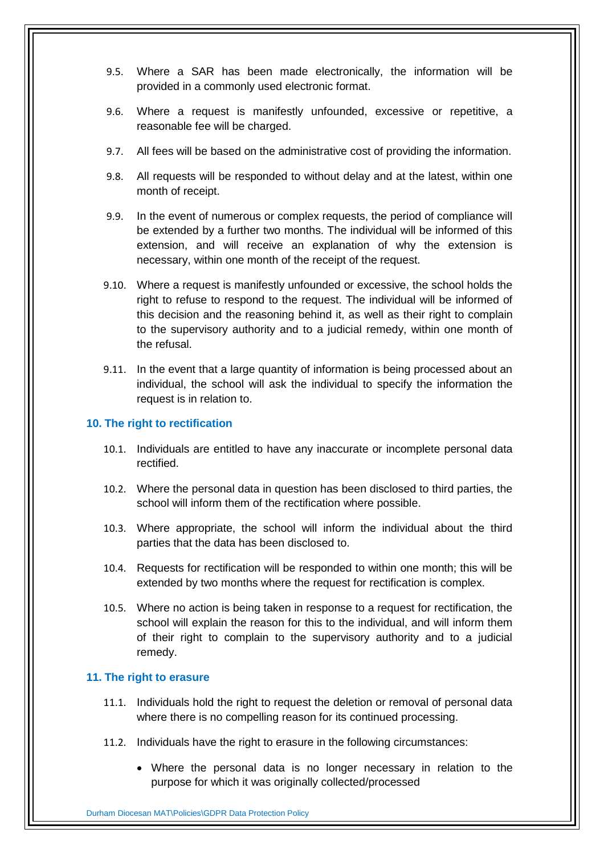- 9.5. Where a SAR has been made electronically, the information will be provided in a commonly used electronic format.
- 9.6. Where a request is manifestly unfounded, excessive or repetitive, a reasonable fee will be charged.
- 9.7. All fees will be based on the administrative cost of providing the information.
- 9.8. All requests will be responded to without delay and at the latest, within one month of receipt.
- 9.9. In the event of numerous or complex requests, the period of compliance will be extended by a further two months. The individual will be informed of this extension, and will receive an explanation of why the extension is necessary, within one month of the receipt of the request.
- 9.10. Where a request is manifestly unfounded or excessive, the school holds the right to refuse to respond to the request. The individual will be informed of this decision and the reasoning behind it, as well as their right to complain to the supervisory authority and to a judicial remedy, within one month of the refusal.
- 9.11. In the event that a large quantity of information is being processed about an individual, the school will ask the individual to specify the information the request is in relation to.

#### <span id="page-10-0"></span>**10. The right to rectification**

- 10.1. Individuals are entitled to have any inaccurate or incomplete personal data rectified.
- 10.2. Where the personal data in question has been disclosed to third parties, the school will inform them of the rectification where possible.
- 10.3. Where appropriate, the school will inform the individual about the third parties that the data has been disclosed to.
- 10.4. Requests for rectification will be responded to within one month; this will be extended by two months where the request for rectification is complex.
- 10.5. Where no action is being taken in response to a request for rectification, the school will explain the reason for this to the individual, and will inform them of their right to complain to the supervisory authority and to a judicial remedy.

#### <span id="page-10-1"></span>**11. The right to erasure**

- 11.1. Individuals hold the right to request the deletion or removal of personal data where there is no compelling reason for its continued processing.
- 11.2. Individuals have the right to erasure in the following circumstances:
	- Where the personal data is no longer necessary in relation to the purpose for which it was originally collected/processed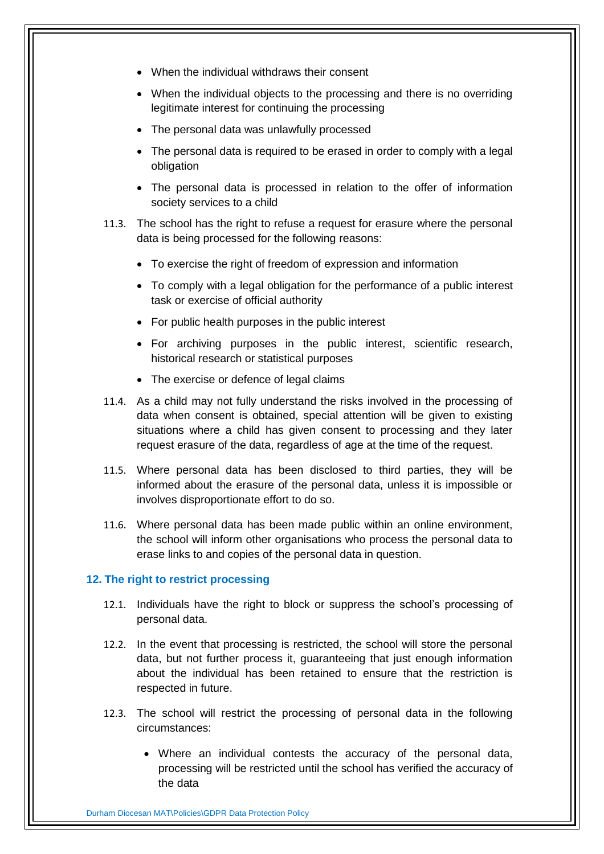- When the individual withdraws their consent
- When the individual objects to the processing and there is no overriding legitimate interest for continuing the processing
- The personal data was unlawfully processed
- The personal data is required to be erased in order to comply with a legal obligation
- The personal data is processed in relation to the offer of information society services to a child
- 11.3. The school has the right to refuse a request for erasure where the personal data is being processed for the following reasons:
	- To exercise the right of freedom of expression and information
	- To comply with a legal obligation for the performance of a public interest task or exercise of official authority
	- For public health purposes in the public interest
	- For archiving purposes in the public interest, scientific research, historical research or statistical purposes
	- The exercise or defence of legal claims
- 11.4. As a child may not fully understand the risks involved in the processing of data when consent is obtained, special attention will be given to existing situations where a child has given consent to processing and they later request erasure of the data, regardless of age at the time of the request.
- 11.5. Where personal data has been disclosed to third parties, they will be informed about the erasure of the personal data, unless it is impossible or involves disproportionate effort to do so.
- 11.6. Where personal data has been made public within an online environment, the school will inform other organisations who process the personal data to erase links to and copies of the personal data in question.

#### <span id="page-11-0"></span>**12. The right to restrict processing**

- 12.1. Individuals have the right to block or suppress the school's processing of personal data.
- 12.2. In the event that processing is restricted, the school will store the personal data, but not further process it, guaranteeing that just enough information about the individual has been retained to ensure that the restriction is respected in future.
- 12.3. The school will restrict the processing of personal data in the following circumstances:
	- Where an individual contests the accuracy of the personal data, processing will be restricted until the school has verified the accuracy of the data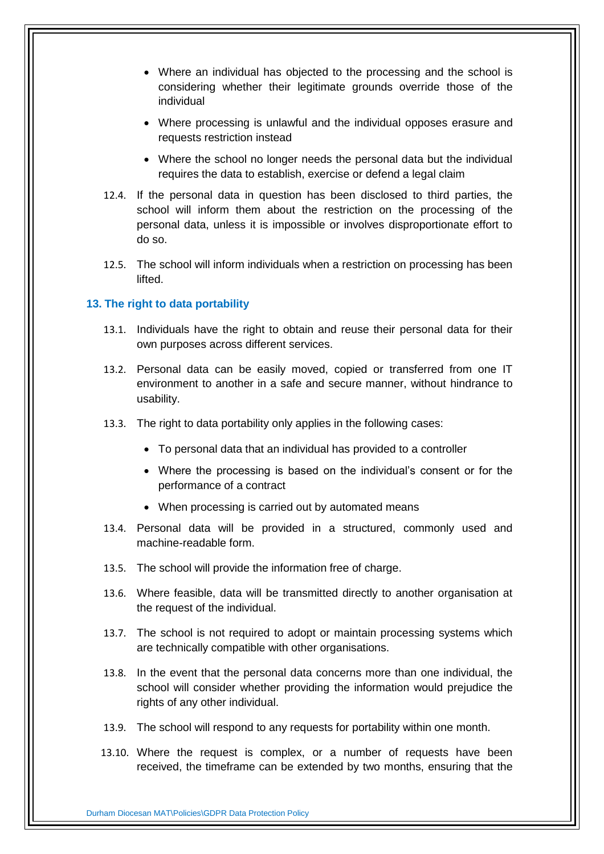- Where an individual has objected to the processing and the school is considering whether their legitimate grounds override those of the individual
- Where processing is unlawful and the individual opposes erasure and requests restriction instead
- Where the school no longer needs the personal data but the individual requires the data to establish, exercise or defend a legal claim
- 12.4. If the personal data in question has been disclosed to third parties, the school will inform them about the restriction on the processing of the personal data, unless it is impossible or involves disproportionate effort to do so.
- 12.5. The school will inform individuals when a restriction on processing has been lifted.

### <span id="page-12-0"></span>**13. The right to data portability**

- 13.1. Individuals have the right to obtain and reuse their personal data for their own purposes across different services.
- 13.2. Personal data can be easily moved, copied or transferred from one IT environment to another in a safe and secure manner, without hindrance to usability.
- 13.3. The right to data portability only applies in the following cases:
	- To personal data that an individual has provided to a controller
	- Where the processing is based on the individual's consent or for the performance of a contract
	- When processing is carried out by automated means
- 13.4. Personal data will be provided in a structured, commonly used and machine-readable form.
- 13.5. The school will provide the information free of charge.
- 13.6. Where feasible, data will be transmitted directly to another organisation at the request of the individual.
- 13.7. The school is not required to adopt or maintain processing systems which are technically compatible with other organisations.
- 13.8. In the event that the personal data concerns more than one individual, the school will consider whether providing the information would prejudice the rights of any other individual.
- 13.9. The school will respond to any requests for portability within one month.
- 13.10. Where the request is complex, or a number of requests have been received, the timeframe can be extended by two months, ensuring that the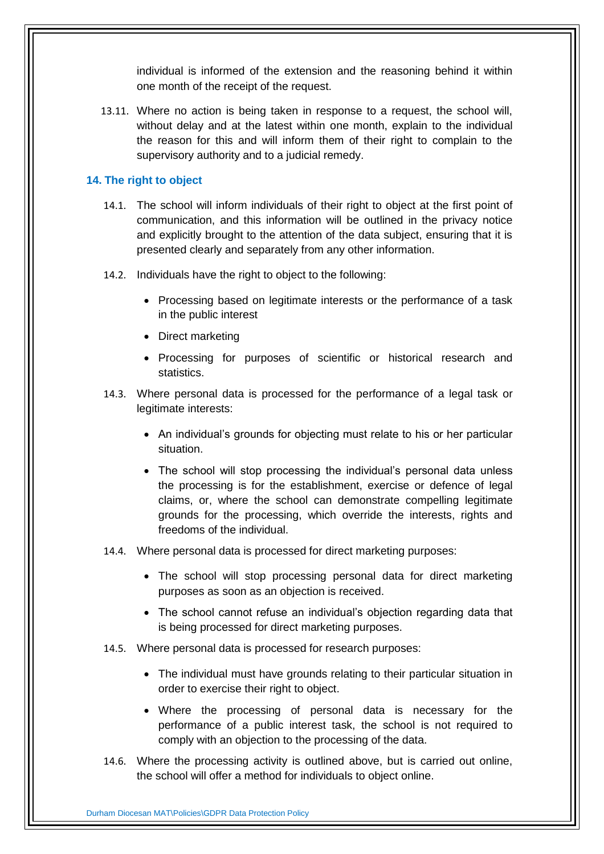individual is informed of the extension and the reasoning behind it within one month of the receipt of the request.

13.11. Where no action is being taken in response to a request, the school will, without delay and at the latest within one month, explain to the individual the reason for this and will inform them of their right to complain to the supervisory authority and to a judicial remedy.

## <span id="page-13-0"></span>**14. The right to object**

- 14.1. The school will inform individuals of their right to object at the first point of communication, and this information will be outlined in the privacy notice and explicitly brought to the attention of the data subject, ensuring that it is presented clearly and separately from any other information.
- 14.2. Individuals have the right to object to the following:
	- Processing based on legitimate interests or the performance of a task in the public interest
	- Direct marketing
	- Processing for purposes of scientific or historical research and statistics.
- 14.3. Where personal data is processed for the performance of a legal task or legitimate interests:
	- An individual's grounds for objecting must relate to his or her particular situation.
	- The school will stop processing the individual's personal data unless the processing is for the establishment, exercise or defence of legal claims, or, where the school can demonstrate compelling legitimate grounds for the processing, which override the interests, rights and freedoms of the individual.
- 14.4. Where personal data is processed for direct marketing purposes:
	- The school will stop processing personal data for direct marketing purposes as soon as an objection is received.
	- The school cannot refuse an individual's objection regarding data that is being processed for direct marketing purposes.
- 14.5. Where personal data is processed for research purposes:
	- The individual must have grounds relating to their particular situation in order to exercise their right to object.
	- Where the processing of personal data is necessary for the performance of a public interest task, the school is not required to comply with an objection to the processing of the data.
- 14.6. Where the processing activity is outlined above, but is carried out online, the school will offer a method for individuals to object online.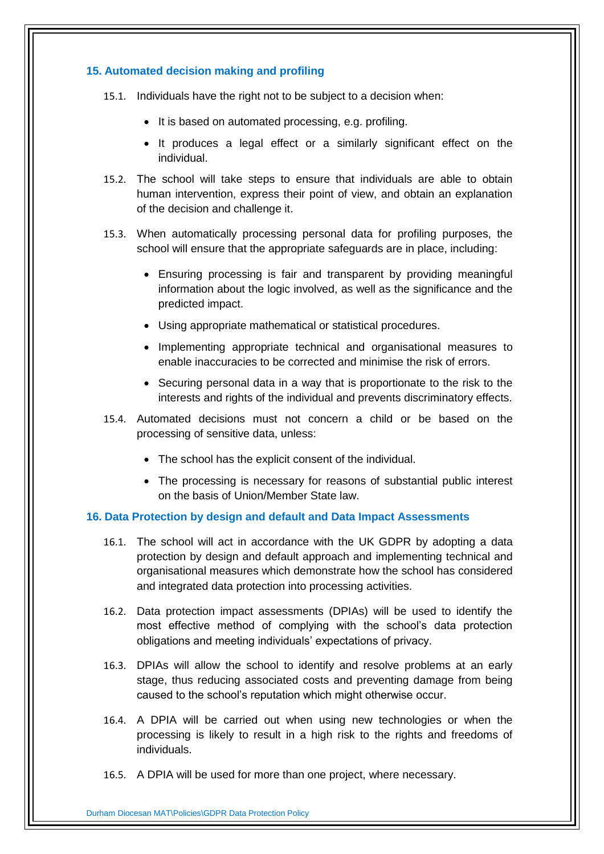## <span id="page-14-0"></span>**15. Automated decision making and profiling**

- 15.1. Individuals have the right not to be subject to a decision when:
	- It is based on automated processing, e.g. profiling.
	- It produces a legal effect or a similarly significant effect on the individual.
- 15.2. The school will take steps to ensure that individuals are able to obtain human intervention, express their point of view, and obtain an explanation of the decision and challenge it.
- 15.3. When automatically processing personal data for profiling purposes, the school will ensure that the appropriate safeguards are in place, including:
	- Ensuring processing is fair and transparent by providing meaningful information about the logic involved, as well as the significance and the predicted impact.
	- Using appropriate mathematical or statistical procedures.
	- Implementing appropriate technical and organisational measures to enable inaccuracies to be corrected and minimise the risk of errors.
	- Securing personal data in a way that is proportionate to the risk to the interests and rights of the individual and prevents discriminatory effects.
- 15.4. Automated decisions must not concern a child or be based on the processing of sensitive data, unless:
	- The school has the explicit consent of the individual.
	- The processing is necessary for reasons of substantial public interest on the basis of Union/Member State law.

## <span id="page-14-1"></span>**16. Data Protection by design and default and Data Impact Assessments**

- 16.1. The school will act in accordance with the UK GDPR by adopting a data protection by design and default approach and implementing technical and organisational measures which demonstrate how the school has considered and integrated data protection into processing activities.
- 16.2. Data protection impact assessments (DPIAs) will be used to identify the most effective method of complying with the school's data protection obligations and meeting individuals' expectations of privacy.
- 16.3. DPIAs will allow the school to identify and resolve problems at an early stage, thus reducing associated costs and preventing damage from being caused to the school's reputation which might otherwise occur.
- 16.4. A DPIA will be carried out when using new technologies or when the processing is likely to result in a high risk to the rights and freedoms of individuals.
- 16.5. A DPIA will be used for more than one project, where necessary.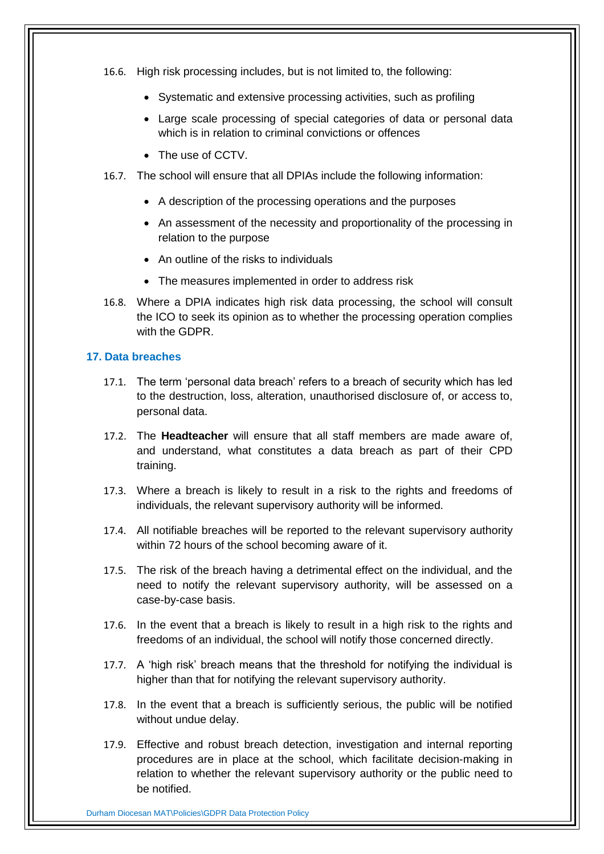- 16.6. High risk processing includes, but is not limited to, the following:
	- Systematic and extensive processing activities, such as profiling
	- Large scale processing of special categories of data or personal data which is in relation to criminal convictions or offences
	- The use of CCTV.
- 16.7. The school will ensure that all DPIAs include the following information:
	- A description of the processing operations and the purposes
	- An assessment of the necessity and proportionality of the processing in relation to the purpose
	- An outline of the risks to individuals
	- The measures implemented in order to address risk
- 16.8. Where a DPIA indicates high risk data processing, the school will consult the ICO to seek its opinion as to whether the processing operation complies with the GDPR.

#### <span id="page-15-0"></span>**17. Data breaches**

- 17.1. The term 'personal data breach' refers to a breach of security which has led to the destruction, loss, alteration, unauthorised disclosure of, or access to, personal data.
- 17.2. The **Headteacher** will ensure that all staff members are made aware of, and understand, what constitutes a data breach as part of their CPD training.
- 17.3. Where a breach is likely to result in a risk to the rights and freedoms of individuals, the relevant supervisory authority will be informed.
- 17.4. All notifiable breaches will be reported to the relevant supervisory authority within 72 hours of the school becoming aware of it.
- 17.5. The risk of the breach having a detrimental effect on the individual, and the need to notify the relevant supervisory authority, will be assessed on a case-by-case basis.
- 17.6. In the event that a breach is likely to result in a high risk to the rights and freedoms of an individual, the school will notify those concerned directly.
- 17.7. A 'high risk' breach means that the threshold for notifying the individual is higher than that for notifying the relevant supervisory authority.
- 17.8. In the event that a breach is sufficiently serious, the public will be notified without undue delay.
- 17.9. Effective and robust breach detection, investigation and internal reporting procedures are in place at the school, which facilitate decision-making in relation to whether the relevant supervisory authority or the public need to be notified.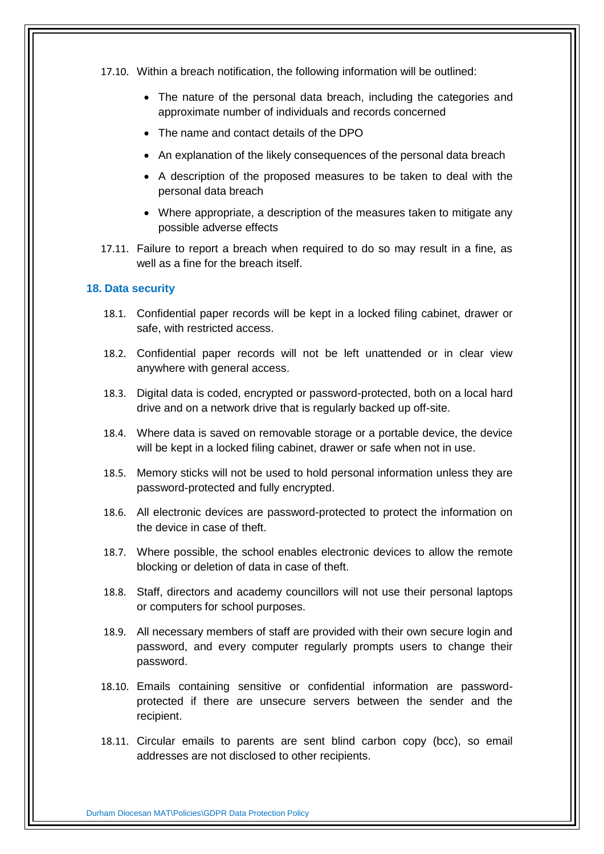- 17.10. Within a breach notification, the following information will be outlined:
	- The nature of the personal data breach, including the categories and approximate number of individuals and records concerned
	- The name and contact details of the DPO
	- An explanation of the likely consequences of the personal data breach
	- A description of the proposed measures to be taken to deal with the personal data breach
	- Where appropriate, a description of the measures taken to mitigate any possible adverse effects
- 17.11. Failure to report a breach when required to do so may result in a fine, as well as a fine for the breach itself.

### <span id="page-16-0"></span>**18. Data security**

- 18.1. Confidential paper records will be kept in a locked filing cabinet, drawer or safe, with restricted access.
- 18.2. Confidential paper records will not be left unattended or in clear view anywhere with general access.
- 18.3. Digital data is coded, encrypted or password-protected, both on a local hard drive and on a network drive that is regularly backed up off-site.
- 18.4. Where data is saved on removable storage or a portable device, the device will be kept in a locked filing cabinet, drawer or safe when not in use.
- 18.5. Memory sticks will not be used to hold personal information unless they are password-protected and fully encrypted.
- 18.6. All electronic devices are password-protected to protect the information on the device in case of theft.
- 18.7. Where possible, the school enables electronic devices to allow the remote blocking or deletion of data in case of theft.
- 18.8. Staff, directors and academy councillors will not use their personal laptops or computers for school purposes.
- 18.9. All necessary members of staff are provided with their own secure login and password, and every computer regularly prompts users to change their password.
- 18.10. Emails containing sensitive or confidential information are passwordprotected if there are unsecure servers between the sender and the recipient.
- 18.11. Circular emails to parents are sent blind carbon copy (bcc), so email addresses are not disclosed to other recipients.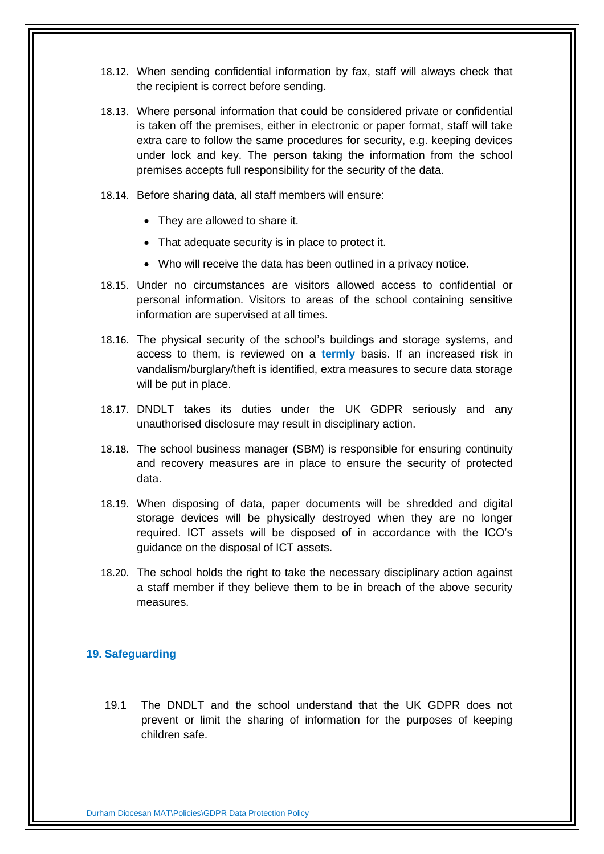- 18.12. When sending confidential information by fax, staff will always check that the recipient is correct before sending.
- 18.13. Where personal information that could be considered private or confidential is taken off the premises, either in electronic or paper format, staff will take extra care to follow the same procedures for security, e.g. keeping devices under lock and key. The person taking the information from the school premises accepts full responsibility for the security of the data.
- 18.14. Before sharing data, all staff members will ensure:
	- They are allowed to share it.
	- That adequate security is in place to protect it.
	- Who will receive the data has been outlined in a privacy notice.
- 18.15. Under no circumstances are visitors allowed access to confidential or personal information. Visitors to areas of the school containing sensitive information are supervised at all times.
- 18.16. The physical security of the school's buildings and storage systems, and access to them, is reviewed on a **termly** basis. If an increased risk in vandalism/burglary/theft is identified, extra measures to secure data storage will be put in place.
- 18.17. DNDLT takes its duties under the UK GDPR seriously and any unauthorised disclosure may result in disciplinary action.
- 18.18. The school business manager (SBM) is responsible for ensuring continuity and recovery measures are in place to ensure the security of protected data.
- 18.19. When disposing of data, paper documents will be shredded and digital storage devices will be physically destroyed when they are no longer required. ICT assets will be disposed of in accordance with the ICO's guidance on the disposal of ICT assets.
- 18.20. The school holds the right to take the necessary disciplinary action against a staff member if they believe them to be in breach of the above security measures.

# <span id="page-17-0"></span>**19. Safeguarding**

19.1 The DNDLT and the school understand that the UK GDPR does not prevent or limit the sharing of information for the purposes of keeping children safe.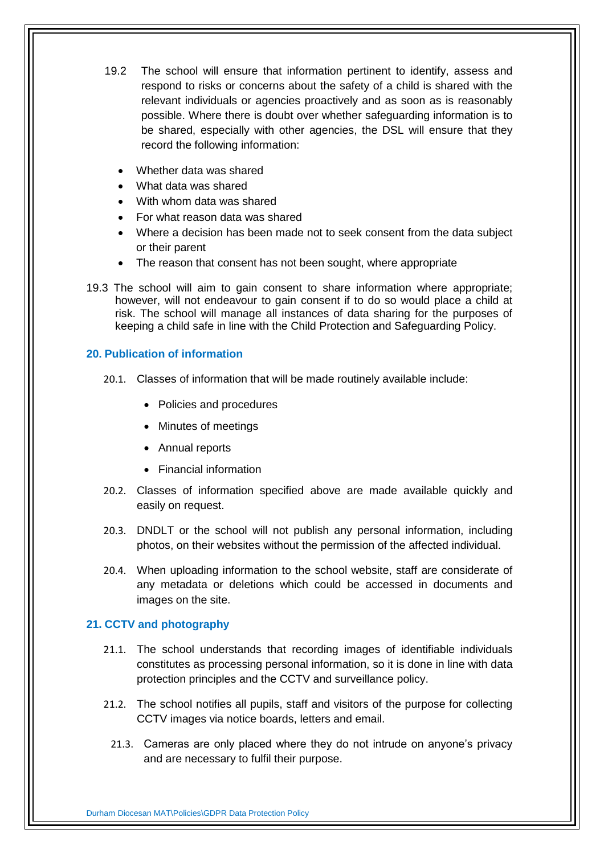- 19.2 The school will ensure that information pertinent to identify, assess and respond to risks or concerns about the safety of a child is shared with the relevant individuals or agencies proactively and as soon as is reasonably possible. Where there is doubt over whether safeguarding information is to be shared, especially with other agencies, the DSL will ensure that they record the following information:
	- Whether data was shared
	- What data was shared
	- With whom data was shared
	- For what reason data was shared
	- Where a decision has been made not to seek consent from the data subject or their parent
	- The reason that consent has not been sought, where appropriate
- 19.3 The school will aim to gain consent to share information where appropriate; however, will not endeavour to gain consent if to do so would place a child at risk. The school will manage all instances of data sharing for the purposes of keeping a child safe in line with the Child Protection and Safeguarding Policy.

# **20. Publication of information**

- 20.1. Classes of information that will be made routinely available include:
	- Policies and procedures
	- Minutes of meetings
	- Annual reports
	- Financial information
- 20.2. Classes of information specified above are made available quickly and easily on request.
- 20.3. DNDLT or the school will not publish any personal information, including photos, on their websites without the permission of the affected individual.
- 20.4. When uploading information to the school website, staff are considerate of any metadata or deletions which could be accessed in documents and images on the site.

## <span id="page-18-0"></span>**21. CCTV and photography**

- 21.1. The school understands that recording images of identifiable individuals constitutes as processing personal information, so it is done in line with data protection principles and the CCTV and surveillance policy.
- 21.2. The school notifies all pupils, staff and visitors of the purpose for collecting CCTV images via notice boards, letters and email.
	- 21.3. Cameras are only placed where they do not intrude on anyone's privacy and are necessary to fulfil their purpose.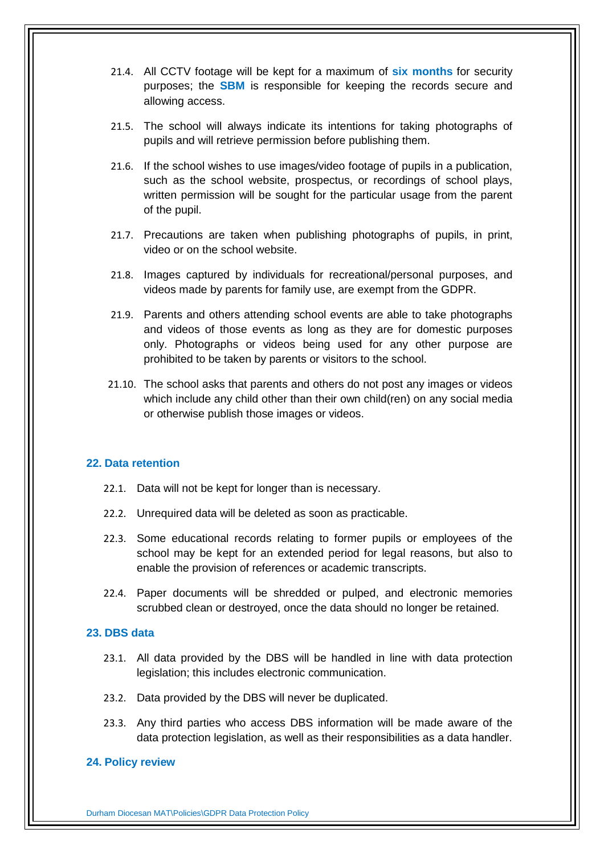- 21.4. All CCTV footage will be kept for a maximum of **six months** for security purposes; the **SBM** is responsible for keeping the records secure and allowing access.
- 21.5. The school will always indicate its intentions for taking photographs of pupils and will retrieve permission before publishing them.
- 21.6. If the school wishes to use images/video footage of pupils in a publication, such as the school website, prospectus, or recordings of school plays, written permission will be sought for the particular usage from the parent of the pupil.
- 21.7. Precautions are taken when publishing photographs of pupils, in print, video or on the school website.
- 21.8. Images captured by individuals for recreational/personal purposes, and videos made by parents for family use, are exempt from the GDPR.
- 21.9. Parents and others attending school events are able to take photographs and videos of those events as long as they are for domestic purposes only. Photographs or videos being used for any other purpose are prohibited to be taken by parents or visitors to the school.
- 21.10. The school asks that parents and others do not post any images or videos which include any child other than their own child(ren) on any social media or otherwise publish those images or videos.

## <span id="page-19-0"></span>**22. Data retention**

- 22.1. Data will not be kept for longer than is necessary.
- 22.2. Unrequired data will be deleted as soon as practicable.
- 22.3. Some educational records relating to former pupils or employees of the school may be kept for an extended period for legal reasons, but also to enable the provision of references or academic transcripts.
- 22.4. Paper documents will be shredded or pulped, and electronic memories scrubbed clean or destroyed, once the data should no longer be retained.

#### <span id="page-19-1"></span>**23. DBS data**

- 23.1. All data provided by the DBS will be handled in line with data protection legislation; this includes electronic communication.
- 23.2. Data provided by the DBS will never be duplicated.
- 23.3. Any third parties who access DBS information will be made aware of the data protection legislation, as well as their responsibilities as a data handler.

#### <span id="page-19-2"></span>**24. Policy review**